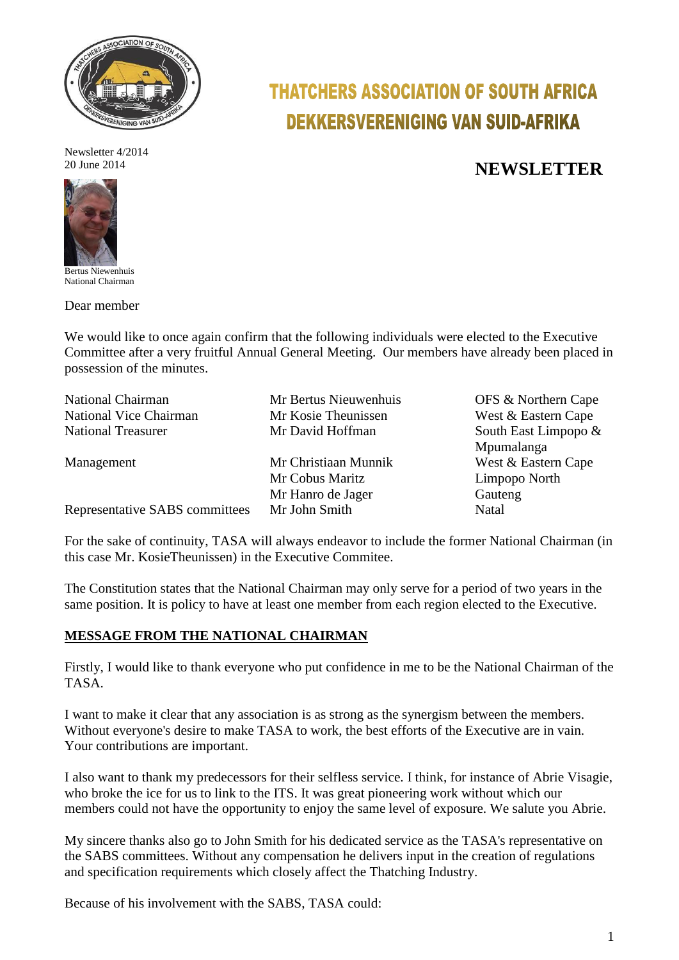

Newsletter 4/2014



Bertus Niewenhuis National Chairman

Dear member

# **THATCHERS ASSOCIATION OF SOUTH AFRICA DEKKERSVERENIGING VAN SUID-AFRIKA**

## 20 June 2014 20 June 2014

We would like to once again confirm that the following individuals were elected to the Executive Committee after a very fruitful Annual General Meeting. Our members have already been placed in possession of the minutes.

| <b>National Chairman</b>       | Mr Bertus Nieuwenhuis | OFS & Northern Cape  |  |  |
|--------------------------------|-----------------------|----------------------|--|--|
| National Vice Chairman         | Mr Kosie Theunissen   | West & Eastern Cape  |  |  |
| <b>National Treasurer</b>      | Mr David Hoffman      | South East Limpopo & |  |  |
|                                |                       | Mpumalanga           |  |  |
| Management                     | Mr Christiaan Munnik  | West & Eastern Cape  |  |  |
|                                | Mr Cobus Maritz       | Limpopo North        |  |  |
|                                | Mr Hanro de Jager     | Gauteng              |  |  |
| Representative SABS committees | Mr John Smith         | Natal                |  |  |

For the sake of continuity, TASA will always endeavor to include the former National Chairman (in this case Mr. KosieTheunissen) in the Executive Commitee.

The Constitution states that the National Chairman may only serve for a period of two years in the same position. It is policy to have at least one member from each region elected to the Executive.

### **MESSAGE FROM THE NATIONAL CHAIRMAN**

Firstly, I would like to thank everyone who put confidence in me to be the National Chairman of the TASA.

I want to make it clear that any association is as strong as the synergism between the members. Without everyone's desire to make TASA to work, the best efforts of the Executive are in vain. Your contributions are important.

I also want to thank my predecessors for their selfless service. I think, for instance of Abrie Visagie, who broke the ice for us to link to the ITS. It was great pioneering work without which our members could not have the opportunity to enjoy the same level of exposure. We salute you Abrie.

My sincere thanks also go to John Smith for his dedicated service as the TASA's representative on the SABS committees. Without any compensation he delivers input in the creation of regulations and specification requirements which closely affect the Thatching Industry.

Because of his involvement with the SABS, TASA could: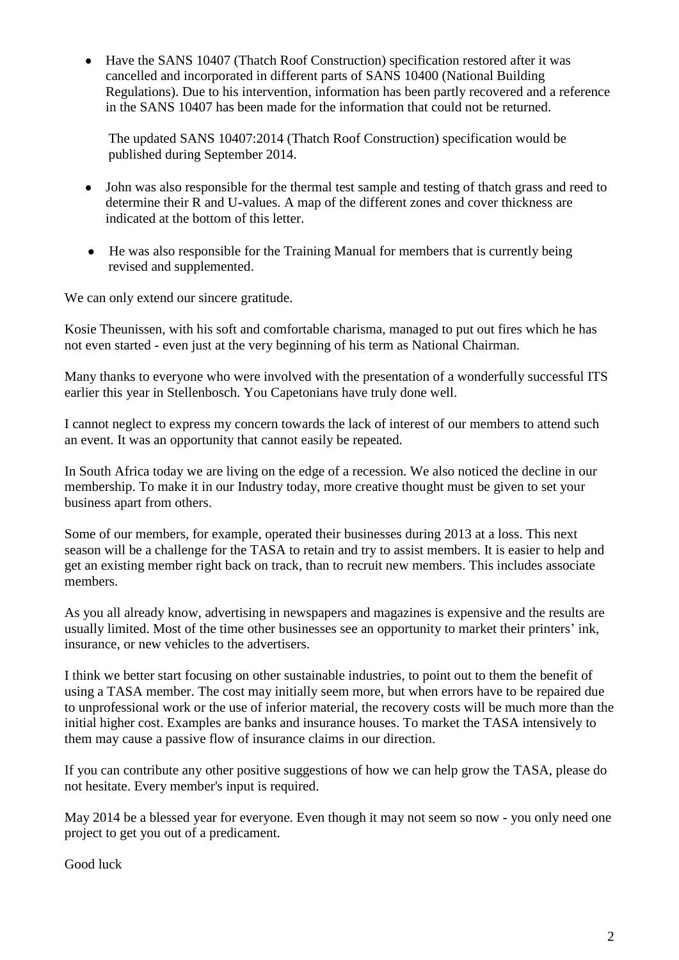Have the SANS 10407 (Thatch Roof Construction) specification restored after it was cancelled and incorporated in different parts of SANS 10400 (National Building Regulations). Due to his intervention, information has been partly recovered and a reference in the SANS 10407 has been made for the information that could not be returned.

The updated SANS 10407:2014 (Thatch Roof Construction) specification would be published during September 2014.

- John was also responsible for the thermal test sample and testing of thatch grass and reed to  $\bullet$ determine their R and U-values. A map of the different zones and cover thickness are indicated at the bottom of this letter.
- He was also responsible for the Training Manual for members that is currently being revised and supplemented.

We can only extend our sincere gratitude.

Kosie Theunissen, with his soft and comfortable charisma, managed to put out fires which he has not even started - even just at the very beginning of his term as National Chairman.

Many thanks to everyone who were involved with the presentation of a wonderfully successful ITS earlier this year in Stellenbosch. You Capetonians have truly done well.

I cannot neglect to express my concern towards the lack of interest of our members to attend such an event. It was an opportunity that cannot easily be repeated.

In South Africa today we are living on the edge of a recession. We also noticed the decline in our membership. To make it in our Industry today, more creative thought must be given to set your business apart from others.

Some of our members, for example, operated their businesses during 2013 at a loss. This next season will be a challenge for the TASA to retain and try to assist members. It is easier to help and get an existing member right back on track, than to recruit new members. This includes associate members.

As you all already know, advertising in newspapers and magazines is expensive and the results are usually limited. Most of the time other businesses see an opportunity to market their printers' ink, insurance, or new vehicles to the advertisers.

I think we better start focusing on other sustainable industries, to point out to them the benefit of using a TASA member. The cost may initially seem more, but when errors have to be repaired due to unprofessional work or the use of inferior material, the recovery costs will be much more than the initial higher cost. Examples are banks and insurance houses. To market the TASA intensively to them may cause a passive flow of insurance claims in our direction.

If you can contribute any other positive suggestions of how we can help grow the TASA, please do not hesitate. Every member's input is required.

May 2014 be a blessed year for everyone. Even though it may not seem so now - you only need one project to get you out of a predicament.

Good luck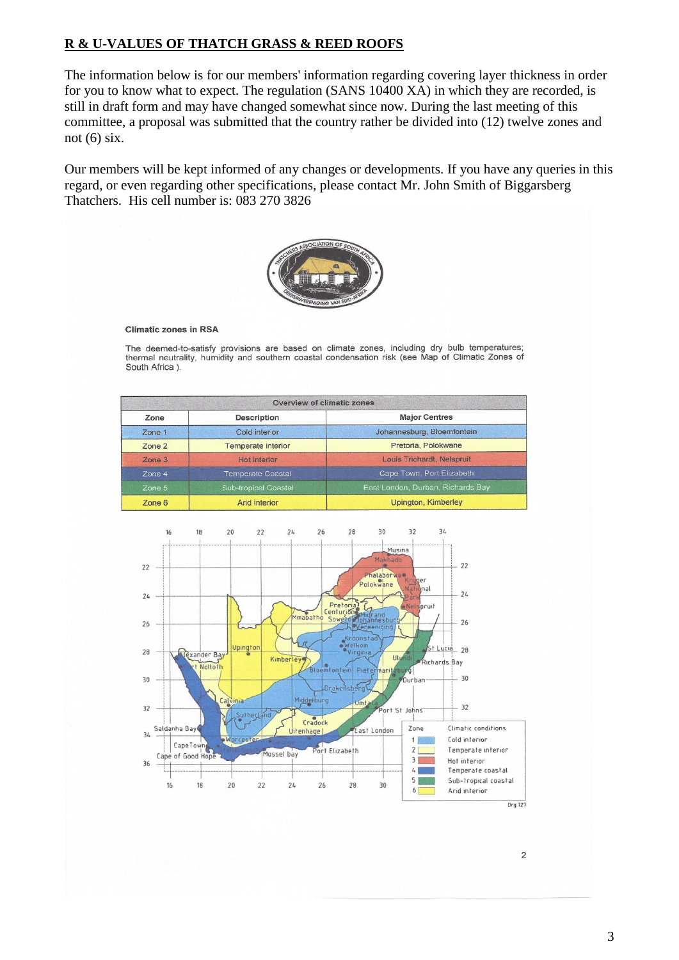### **R & U-VALUES OF THATCH GRASS & REED ROOFS**

The information below is for our members' information regarding covering layer thickness in order for you to know what to expect. The regulation (SANS 10400 XA) in which they are recorded, is still in draft form and may have changed somewhat since now. During the last meeting of this committee, a proposal was submitted that the country rather be divided into (12) twelve zones and not  $(6)$  six.

Our members will be kept informed of any changes or developments. If you have any queries in this regard, or even regarding other specifications, please contact Mr. John Smith of Biggarsberg Thatchers. His cell number is: 083 270 3826



#### **Climatic zones in RSA**

The deemed-to-satisfy provisions are based on climate zones, including dry bulb temperatures; thermal neutrality, humidity and southern coastal condensation risk (see Map of Climatic Zones of South Africa ).

| Overview of climatic zones |                             |                                   |  |  |  |
|----------------------------|-----------------------------|-----------------------------------|--|--|--|
| Zone                       | Description                 | <b>Major Centres</b>              |  |  |  |
| Zone 1                     | Cold interior               | Johannesburg, Bloemfontein        |  |  |  |
| Zone 2                     | <b>Temperate interior</b>   | Pretoria, Polokwane               |  |  |  |
| $Z$ one $3$                | Hot interior                | Louis Trichardt, Nelspruit        |  |  |  |
| Zone 4                     | <b>Temperate Coastal</b>    | Cape Town, Port Elizabeth         |  |  |  |
| Zone 5                     | <b>Sub-tropical Coastal</b> | East London, Durban, Richards Bay |  |  |  |
| Zone 6                     | Arid interior               | <b>Upington, Kimberley</b>        |  |  |  |



 $\overline{c}$